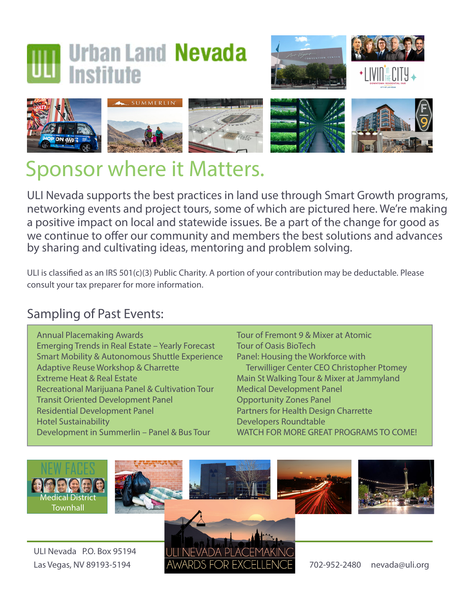## **Urban Land Nevada Institute**







## Sponsor where it Matters.

ULI Nevada supports the best practices in land use through Smart Growth programs, networking events and project tours, some of which are pictured here. We're making a positive impact on local and statewide issues. Be a part of the change for good as we continue to offer our community and members the best solutions and advances by sharing and cultivating ideas, mentoring and problem solving.

ULI is classified as an IRS 501(c)(3) Public Charity. A portion of your contribution may be deductable. Please consult your tax preparer for more information.

## Sampling of Past Events:

Annual Placemaking Awards Emerging Trends in Real Estate – Yearly Forecast Smart Mobility & Autonomous Shuttle Experience Adaptive Reuse Workshop & Charrette Extreme Heat & Real Estate Recreational Marijuana Panel & Cultivation Tour Transit Oriented Development Panel Residential Development Panel Hotel Sustainability Development in Summerlin – Panel & Bus Tour

Tour of Fremont 9 & Mixer at Atomic Tour of Oasis BioTech Panel: Housing the Workforce with Terwilliger Center CEO Christopher Ptomey Main St Walking Tour & Mixer at Jammyland Medical Development Panel Opportunity Zones Panel Partners for Health Design Charrette Developers Roundtable WATCH FOR MORE GREAT PROGRAMS TO COME!